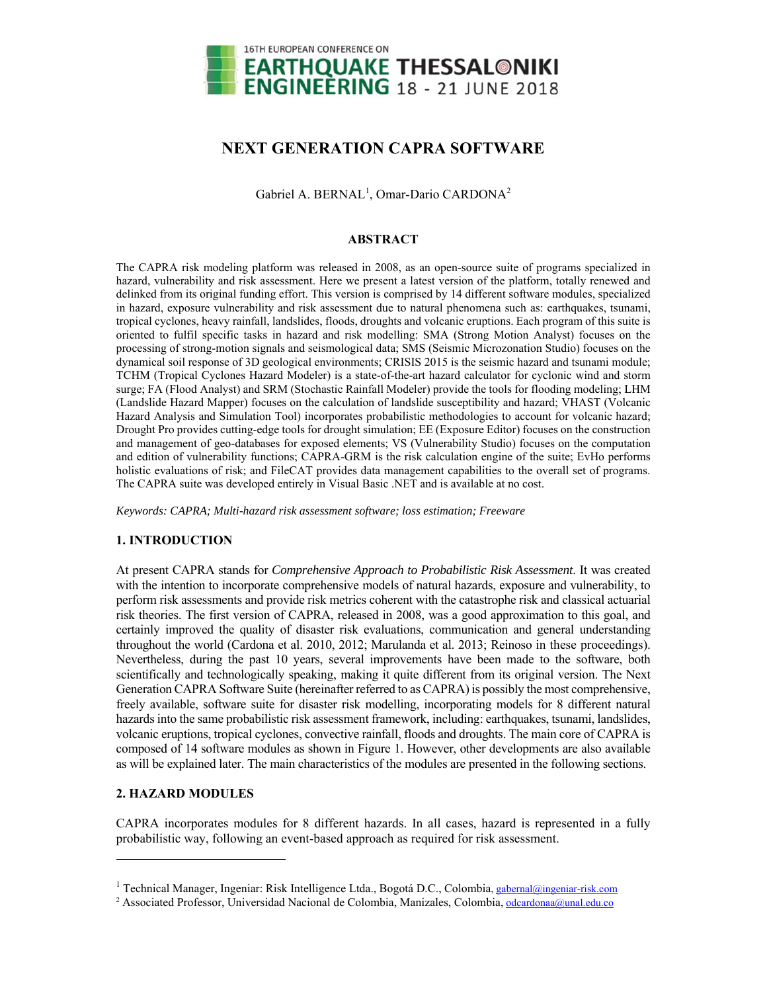

# **NEXT GENERATION CAPRA SOFTWARE**

Gabriel A. BERNAL<sup>1</sup>, Omar-Dario CARDONA<sup>2</sup>

## **ABSTRACT**

The CAPRA risk modeling platform was released in 2008, as an open-source suite of programs specialized in hazard, vulnerability and risk assessment. Here we present a latest version of the platform, totally renewed and delinked from its original funding effort. This version is comprised by 14 different software modules, specialized in hazard, exposure vulnerability and risk assessment due to natural phenomena such as: earthquakes, tsunami, tropical cyclones, heavy rainfall, landslides, floods, droughts and volcanic eruptions. Each program of this suite is oriented to fulfil specific tasks in hazard and risk modelling: SMA (Strong Motion Analyst) focuses on the processing of strong-motion signals and seismological data; SMS (Seismic Microzonation Studio) focuses on the dynamical soil response of 3D geological environments; CRISIS 2015 is the seismic hazard and tsunami module; TCHM (Tropical Cyclones Hazard Modeler) is a state-of-the-art hazard calculator for cyclonic wind and storm surge; FA (Flood Analyst) and SRM (Stochastic Rainfall Modeler) provide the tools for flooding modeling; LHM (Landslide Hazard Mapper) focuses on the calculation of landslide susceptibility and hazard; VHAST (Volcanic Hazard Analysis and Simulation Tool) incorporates probabilistic methodologies to account for volcanic hazard; Drought Pro provides cutting-edge tools for drought simulation; EE (Exposure Editor) focuses on the construction and management of geo-databases for exposed elements; VS (Vulnerability Studio) focuses on the computation and edition of vulnerability functions; CAPRA-GRM is the risk calculation engine of the suite; EvHo performs holistic evaluations of risk; and FileCAT provides data management capabilities to the overall set of programs. The CAPRA suite was developed entirely in Visual Basic .NET and is available at no cost.

*Keywords: CAPRA; Multi-hazard risk assessment software; loss estimation; Freeware* 

# **1. INTRODUCTION**

At present CAPRA stands for *Comprehensive Approach to Probabilistic Risk Assessment*. It was created with the intention to incorporate comprehensive models of natural hazards, exposure and vulnerability, to perform risk assessments and provide risk metrics coherent with the catastrophe risk and classical actuarial risk theories. The first version of CAPRA, released in 2008, was a good approximation to this goal, and certainly improved the quality of disaster risk evaluations, communication and general understanding throughout the world (Cardona et al. 2010, 2012; Marulanda et al. 2013; Reinoso in these proceedings). Nevertheless, during the past 10 years, several improvements have been made to the software, both scientifically and technologically speaking, making it quite different from its original version. The Next Generation CAPRA Software Suite (hereinafter referred to as CAPRA) is possibly the most comprehensive, freely available, software suite for disaster risk modelling, incorporating models for 8 different natural hazards into the same probabilistic risk assessment framework, including: earthquakes, tsunami, landslides, volcanic eruptions, tropical cyclones, convective rainfall, floods and droughts. The main core of CAPRA is composed of 14 software modules as shown in Figure 1. However, other developments are also available as will be explained later. The main characteristics of the modules are presented in the following sections.

## **2. HAZARD MODULES**

l

CAPRA incorporates modules for 8 different hazards. In all cases, hazard is represented in a fully probabilistic way, following an event-based approach as required for risk assessment.

<sup>&</sup>lt;sup>1</sup> Technical Manager, Ingeniar: Risk Intelligence Ltda., Bogotá D.C., Colombia, gabernal@ingeniar-risk.com

<sup>&</sup>lt;sup>2</sup> Associated Professor, Universidad Nacional de Colombia, Manizales, Colombia, odcardonaa@unal.edu.co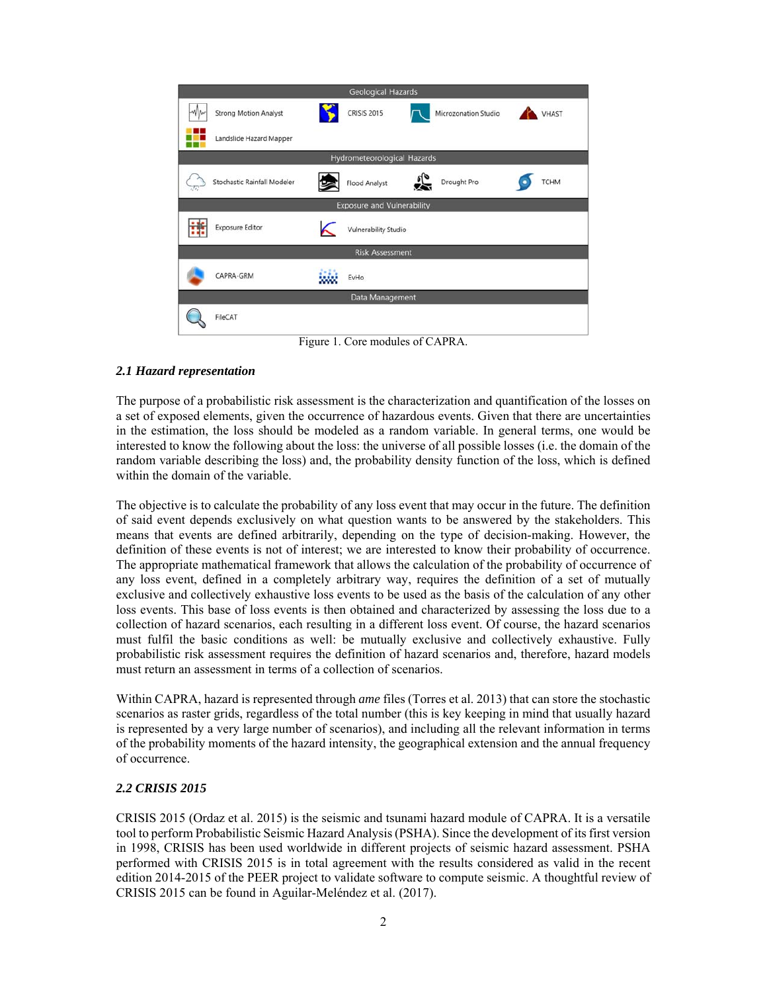

Figure 1. Core modules of CAPRA.

## *2.1 Hazard representation*

The purpose of a probabilistic risk assessment is the characterization and quantification of the losses on a set of exposed elements, given the occurrence of hazardous events. Given that there are uncertainties in the estimation, the loss should be modeled as a random variable. In general terms, one would be interested to know the following about the loss: the universe of all possible losses (i.e. the domain of the random variable describing the loss) and, the probability density function of the loss, which is defined within the domain of the variable.

The objective is to calculate the probability of any loss event that may occur in the future. The definition of said event depends exclusively on what question wants to be answered by the stakeholders. This means that events are defined arbitrarily, depending on the type of decision-making. However, the definition of these events is not of interest; we are interested to know their probability of occurrence. The appropriate mathematical framework that allows the calculation of the probability of occurrence of any loss event, defined in a completely arbitrary way, requires the definition of a set of mutually exclusive and collectively exhaustive loss events to be used as the basis of the calculation of any other loss events. This base of loss events is then obtained and characterized by assessing the loss due to a collection of hazard scenarios, each resulting in a different loss event. Of course, the hazard scenarios must fulfil the basic conditions as well: be mutually exclusive and collectively exhaustive. Fully probabilistic risk assessment requires the definition of hazard scenarios and, therefore, hazard models must return an assessment in terms of a collection of scenarios.

Within CAPRA, hazard is represented through *ame* files (Torres et al. 2013) that can store the stochastic scenarios as raster grids, regardless of the total number (this is key keeping in mind that usually hazard is represented by a very large number of scenarios), and including all the relevant information in terms of the probability moments of the hazard intensity, the geographical extension and the annual frequency of occurrence.

# *2.2 CRISIS 2015*

CRISIS 2015 (Ordaz et al. 2015) is the seismic and tsunami hazard module of CAPRA. It is a versatile tool to perform Probabilistic Seismic Hazard Analysis (PSHA). Since the development of its first version in 1998, CRISIS has been used worldwide in different projects of seismic hazard assessment. PSHA performed with CRISIS 2015 is in total agreement with the results considered as valid in the recent edition 2014-2015 of the PEER project to validate software to compute seismic. A thoughtful review of CRISIS 2015 can be found in Aguilar-Meléndez et al. (2017).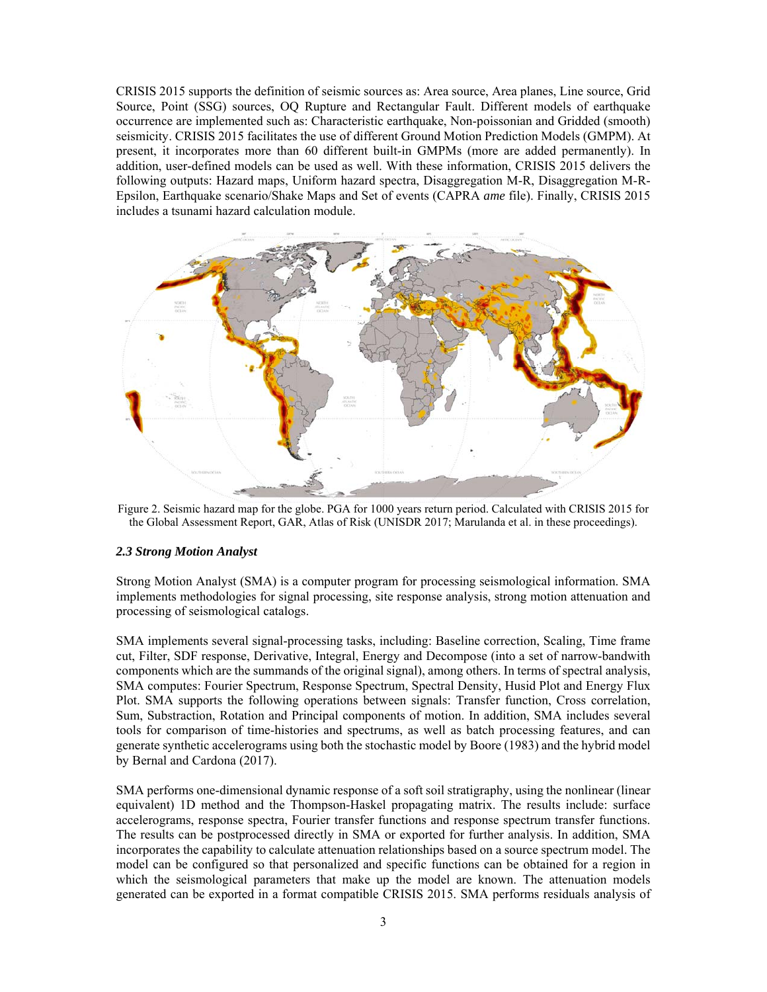CRISIS 2015 supports the definition of seismic sources as: Area source, Area planes, Line source, Grid Source, Point (SSG) sources, OQ Rupture and Rectangular Fault. Different models of earthquake occurrence are implemented such as: Characteristic earthquake, Non-poissonian and Gridded (smooth) seismicity. CRISIS 2015 facilitates the use of different Ground Motion Prediction Models (GMPM). At present, it incorporates more than 60 different built-in GMPMs (more are added permanently). In addition, user-defined models can be used as well. With these information, CRISIS 2015 delivers the following outputs: Hazard maps, Uniform hazard spectra, Disaggregation M-R, Disaggregation M-R-Epsilon, Earthquake scenario/Shake Maps and Set of events (CAPRA *ame* file). Finally, CRISIS 2015 includes a tsunami hazard calculation module.



Figure 2. Seismic hazard map for the globe. PGA for 1000 years return period. Calculated with CRISIS 2015 for the Global Assessment Report, GAR, Atlas of Risk (UNISDR 2017; Marulanda et al. in these proceedings).

#### *2.3 Strong Motion Analyst*

Strong Motion Analyst (SMA) is a computer program for processing seismological information. SMA implements methodologies for signal processing, site response analysis, strong motion attenuation and processing of seismological catalogs.

SMA implements several signal-processing tasks, including: Baseline correction, Scaling, Time frame cut, Filter, SDF response, Derivative, Integral, Energy and Decompose (into a set of narrow-bandwith components which are the summands of the original signal), among others. In terms of spectral analysis, SMA computes: Fourier Spectrum, Response Spectrum, Spectral Density, Husid Plot and Energy Flux Plot. SMA supports the following operations between signals: Transfer function, Cross correlation, Sum, Substraction, Rotation and Principal components of motion. In addition, SMA includes several tools for comparison of time-histories and spectrums, as well as batch processing features, and can generate synthetic accelerograms using both the stochastic model by Boore (1983) and the hybrid model by Bernal and Cardona (2017).

SMA performs one-dimensional dynamic response of a soft soil stratigraphy, using the nonlinear (linear equivalent) 1D method and the Thompson-Haskel propagating matrix. The results include: surface accelerograms, response spectra, Fourier transfer functions and response spectrum transfer functions. The results can be postprocessed directly in SMA or exported for further analysis. In addition, SMA incorporates the capability to calculate attenuation relationships based on a source spectrum model. The model can be configured so that personalized and specific functions can be obtained for a region in which the seismological parameters that make up the model are known. The attenuation models generated can be exported in a format compatible CRISIS 2015. SMA performs residuals analysis of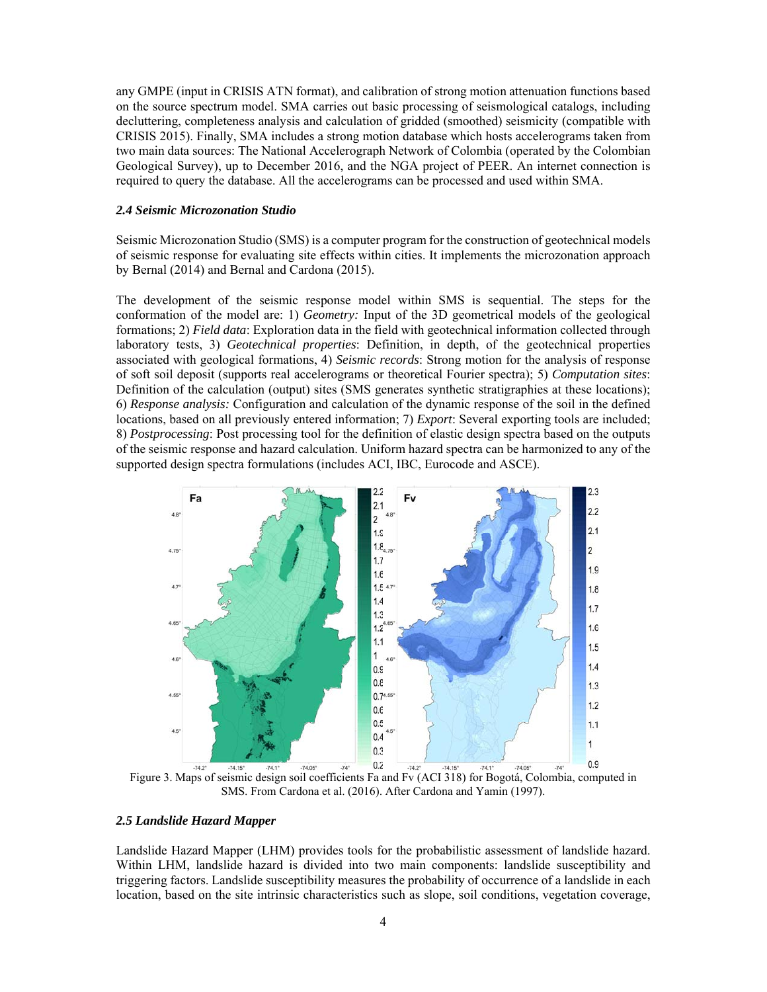any GMPE (input in CRISIS ATN format), and calibration of strong motion attenuation functions based on the source spectrum model. SMA carries out basic processing of seismological catalogs, including decluttering, completeness analysis and calculation of gridded (smoothed) seismicity (compatible with CRISIS 2015). Finally, SMA includes a strong motion database which hosts accelerograms taken from two main data sources: The National Accelerograph Network of Colombia (operated by the Colombian Geological Survey), up to December 2016, and the NGA project of PEER. An internet connection is required to query the database. All the accelerograms can be processed and used within SMA.

#### *2.4 Seismic Microzonation Studio*

Seismic Microzonation Studio (SMS) is a computer program for the construction of geotechnical models of seismic response for evaluating site effects within cities. It implements the microzonation approach by Bernal (2014) and Bernal and Cardona (2015).

The development of the seismic response model within SMS is sequential. The steps for the conformation of the model are: 1) *Geometry:* Input of the 3D geometrical models of the geological formations; 2) *Field data*: Exploration data in the field with geotechnical information collected through laboratory tests, 3) *Geotechnical properties*: Definition, in depth, of the geotechnical properties associated with geological formations, 4) *Seismic records*: Strong motion for the analysis of response of soft soil deposit (supports real accelerograms or theoretical Fourier spectra); 5) *Computation sites*: Definition of the calculation (output) sites (SMS generates synthetic stratigraphies at these locations); 6) *Response analysis:* Configuration and calculation of the dynamic response of the soil in the defined locations, based on all previously entered information; 7) *Export*: Several exporting tools are included; 8) *Postprocessing*: Post processing tool for the definition of elastic design spectra based on the outputs of the seismic response and hazard calculation. Uniform hazard spectra can be harmonized to any of the supported design spectra formulations (includes ACI, IBC, Eurocode and ASCE).



Figure 3. Maps of seismic design soil coefficients Fa and Fv (ACI 318) for Bogotá, Colombia, computed in SMS. From Cardona et al. (2016). After Cardona and Yamin (1997).

#### *2.5 Landslide Hazard Mapper*

Landslide Hazard Mapper (LHM) provides tools for the probabilistic assessment of landslide hazard. Within LHM, landslide hazard is divided into two main components: landslide susceptibility and triggering factors. Landslide susceptibility measures the probability of occurrence of a landslide in each location, based on the site intrinsic characteristics such as slope, soil conditions, vegetation coverage,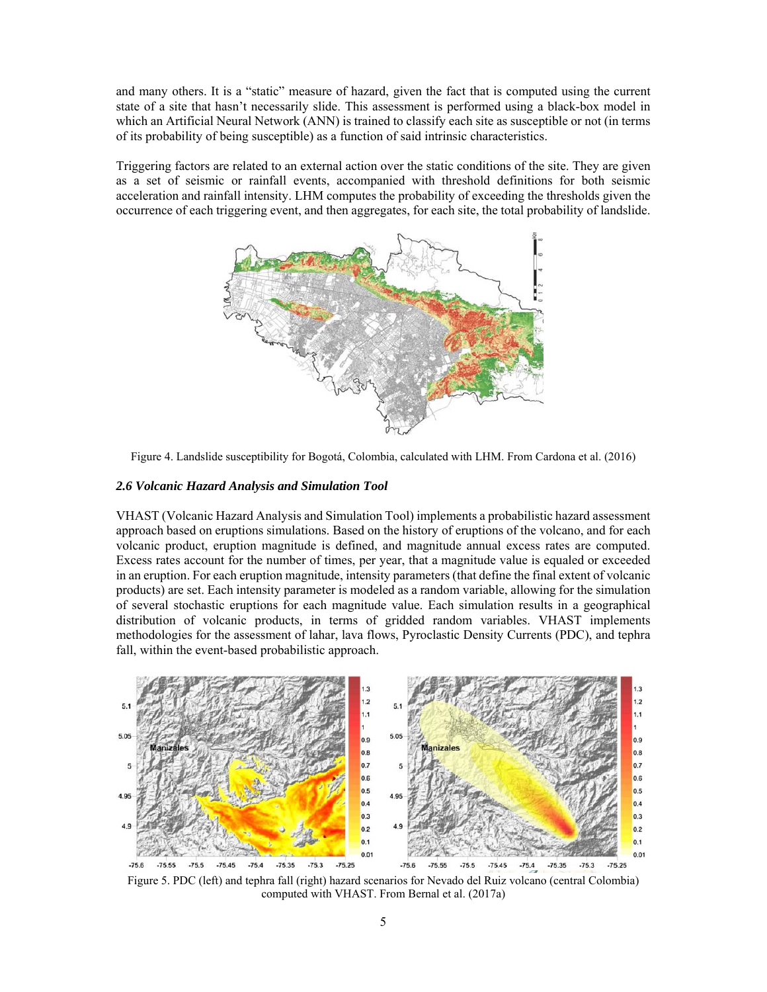and many others. It is a "static" measure of hazard, given the fact that is computed using the current state of a site that hasn't necessarily slide. This assessment is performed using a black-box model in which an Artificial Neural Network (ANN) is trained to classify each site as susceptible or not (in terms of its probability of being susceptible) as a function of said intrinsic characteristics.

Triggering factors are related to an external action over the static conditions of the site. They are given as a set of seismic or rainfall events, accompanied with threshold definitions for both seismic acceleration and rainfall intensity. LHM computes the probability of exceeding the thresholds given the occurrence of each triggering event, and then aggregates, for each site, the total probability of landslide.



Figure 4. Landslide susceptibility for Bogotá, Colombia, calculated with LHM. From Cardona et al. (2016)

#### *2.6 Volcanic Hazard Analysis and Simulation Tool*

VHAST (Volcanic Hazard Analysis and Simulation Tool) implements a probabilistic hazard assessment approach based on eruptions simulations. Based on the history of eruptions of the volcano, and for each volcanic product, eruption magnitude is defined, and magnitude annual excess rates are computed. Excess rates account for the number of times, per year, that a magnitude value is equaled or exceeded in an eruption. For each eruption magnitude, intensity parameters (that define the final extent of volcanic products) are set. Each intensity parameter is modeled as a random variable, allowing for the simulation of several stochastic eruptions for each magnitude value. Each simulation results in a geographical distribution of volcanic products, in terms of gridded random variables. VHAST implements methodologies for the assessment of lahar, lava flows, Pyroclastic Density Currents (PDC), and tephra fall, within the event-based probabilistic approach.



Figure 5. PDC (left) and tephra fall (right) hazard scenarios for Nevado del Ruiz volcano (central Colombia) computed with VHAST. From Bernal et al. (2017a)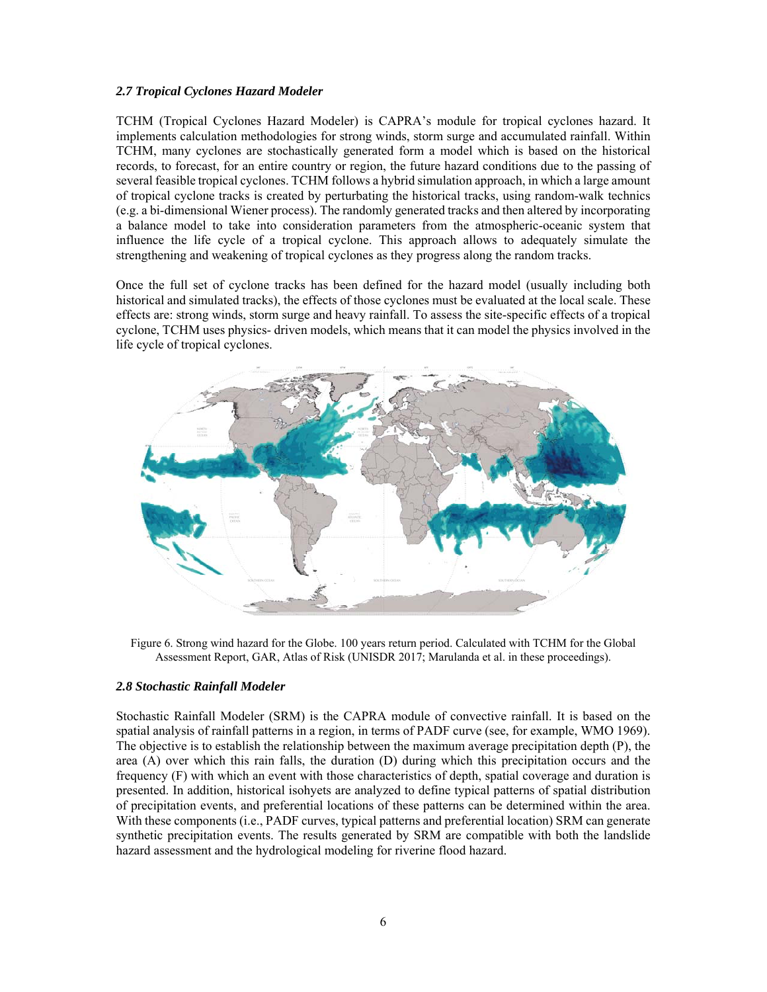## *2.7 Tropical Cyclones Hazard Modeler*

TCHM (Tropical Cyclones Hazard Modeler) is CAPRA's module for tropical cyclones hazard. It implements calculation methodologies for strong winds, storm surge and accumulated rainfall. Within TCHM, many cyclones are stochastically generated form a model which is based on the historical records, to forecast, for an entire country or region, the future hazard conditions due to the passing of several feasible tropical cyclones. TCHM follows a hybrid simulation approach, in which a large amount of tropical cyclone tracks is created by perturbating the historical tracks, using random-walk technics (e.g. a bi-dimensional Wiener process). The randomly generated tracks and then altered by incorporating a balance model to take into consideration parameters from the atmospheric-oceanic system that influence the life cycle of a tropical cyclone. This approach allows to adequately simulate the strengthening and weakening of tropical cyclones as they progress along the random tracks.

Once the full set of cyclone tracks has been defined for the hazard model (usually including both historical and simulated tracks), the effects of those cyclones must be evaluated at the local scale. These effects are: strong winds, storm surge and heavy rainfall. To assess the site-specific effects of a tropical cyclone, TCHM uses physics- driven models, which means that it can model the physics involved in the life cycle of tropical cyclones.



Figure 6. Strong wind hazard for the Globe. 100 years return period. Calculated with TCHM for the Global Assessment Report, GAR, Atlas of Risk (UNISDR 2017; Marulanda et al. in these proceedings).

## *2.8 Stochastic Rainfall Modeler*

Stochastic Rainfall Modeler (SRM) is the CAPRA module of convective rainfall. It is based on the spatial analysis of rainfall patterns in a region, in terms of PADF curve (see, for example, WMO 1969). The objective is to establish the relationship between the maximum average precipitation depth (P), the area (A) over which this rain falls, the duration (D) during which this precipitation occurs and the frequency (F) with which an event with those characteristics of depth, spatial coverage and duration is presented. In addition, historical isohyets are analyzed to define typical patterns of spatial distribution of precipitation events, and preferential locations of these patterns can be determined within the area. With these components (i.e., PADF curves, typical patterns and preferential location) SRM can generate synthetic precipitation events. The results generated by SRM are compatible with both the landslide hazard assessment and the hydrological modeling for riverine flood hazard.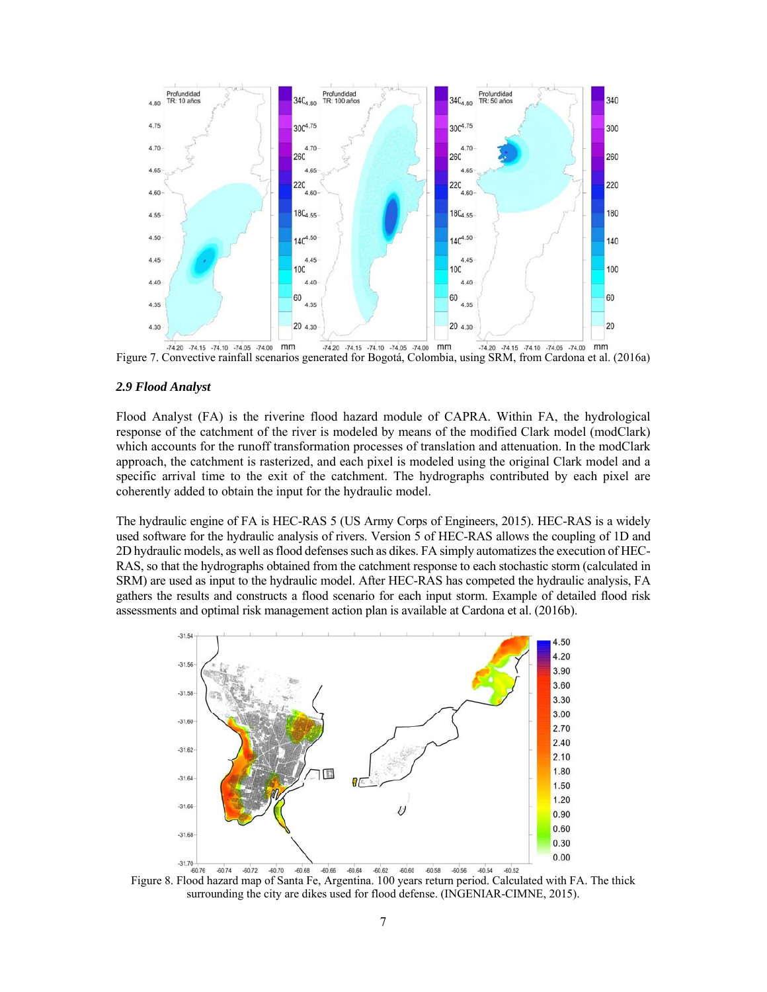

Figure 7. Convective rainfall scenarios generated for Bogotá, Colombia, using SRM, from Cardona et al. (2016a)

#### *2.9 Flood Analyst*

Flood Analyst (FA) is the riverine flood hazard module of CAPRA. Within FA, the hydrological response of the catchment of the river is modeled by means of the modified Clark model (modClark) which accounts for the runoff transformation processes of translation and attenuation. In the modClark approach, the catchment is rasterized, and each pixel is modeled using the original Clark model and a specific arrival time to the exit of the catchment. The hydrographs contributed by each pixel are coherently added to obtain the input for the hydraulic model.

The hydraulic engine of FA is HEC-RAS 5 (US Army Corps of Engineers, 2015). HEC-RAS is a widely used software for the hydraulic analysis of rivers. Version 5 of HEC-RAS allows the coupling of 1D and 2D hydraulic models, as well as flood defenses such as dikes. FA simply automatizes the execution of HEC-RAS, so that the hydrographs obtained from the catchment response to each stochastic storm (calculated in SRM) are used as input to the hydraulic model. After HEC-RAS has competed the hydraulic analysis, FA gathers the results and constructs a flood scenario for each input storm. Example of detailed flood risk assessments and optimal risk management action plan is available at Cardona et al. (2016b).



Figure 8. Flood hazard map of Santa Fe, Argentina. 100 years return period. Calculated with FA. The thick surrounding the city are dikes used for flood defense. (INGENIAR-CIMNE, 2015).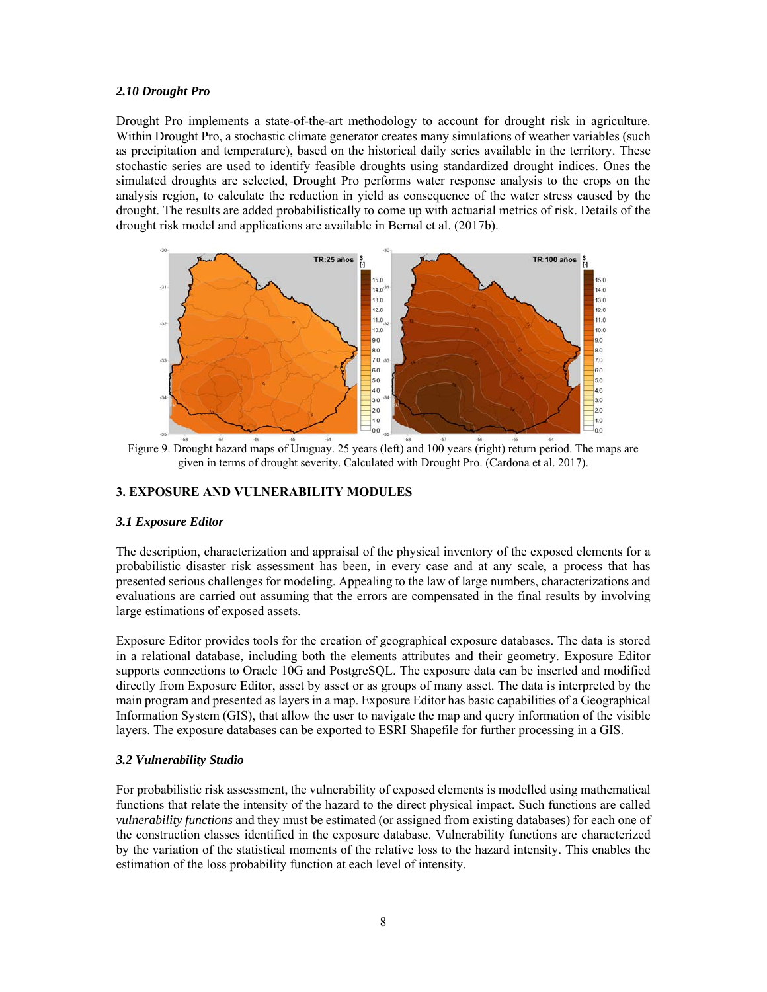## *2.10 Drought Pro*

Drought Pro implements a state-of-the-art methodology to account for drought risk in agriculture. Within Drought Pro, a stochastic climate generator creates many simulations of weather variables (such as precipitation and temperature), based on the historical daily series available in the territory. These stochastic series are used to identify feasible droughts using standardized drought indices. Ones the simulated droughts are selected, Drought Pro performs water response analysis to the crops on the analysis region, to calculate the reduction in yield as consequence of the water stress caused by the drought. The results are added probabilistically to come up with actuarial metrics of risk. Details of the drought risk model and applications are available in Bernal et al. (2017b).



Figure 9. Drought hazard maps of Uruguay. 25 years (left) and 100 years (right) return period. The maps are given in terms of drought severity. Calculated with Drought Pro. (Cardona et al. 2017).

## **3. EXPOSURE AND VULNERABILITY MODULES**

#### *3.1 Exposure Editor*

The description, characterization and appraisal of the physical inventory of the exposed elements for a probabilistic disaster risk assessment has been, in every case and at any scale, a process that has presented serious challenges for modeling. Appealing to the law of large numbers, characterizations and evaluations are carried out assuming that the errors are compensated in the final results by involving large estimations of exposed assets.

Exposure Editor provides tools for the creation of geographical exposure databases. The data is stored in a relational database, including both the elements attributes and their geometry. Exposure Editor supports connections to Oracle 10G and PostgreSQL. The exposure data can be inserted and modified directly from Exposure Editor, asset by asset or as groups of many asset. The data is interpreted by the main program and presented as layers in a map. Exposure Editor has basic capabilities of a Geographical Information System (GIS), that allow the user to navigate the map and query information of the visible layers. The exposure databases can be exported to ESRI Shapefile for further processing in a GIS.

## *3.2 Vulnerability Studio*

For probabilistic risk assessment, the vulnerability of exposed elements is modelled using mathematical functions that relate the intensity of the hazard to the direct physical impact. Such functions are called *vulnerability functions* and they must be estimated (or assigned from existing databases) for each one of the construction classes identified in the exposure database. Vulnerability functions are characterized by the variation of the statistical moments of the relative loss to the hazard intensity. This enables the estimation of the loss probability function at each level of intensity.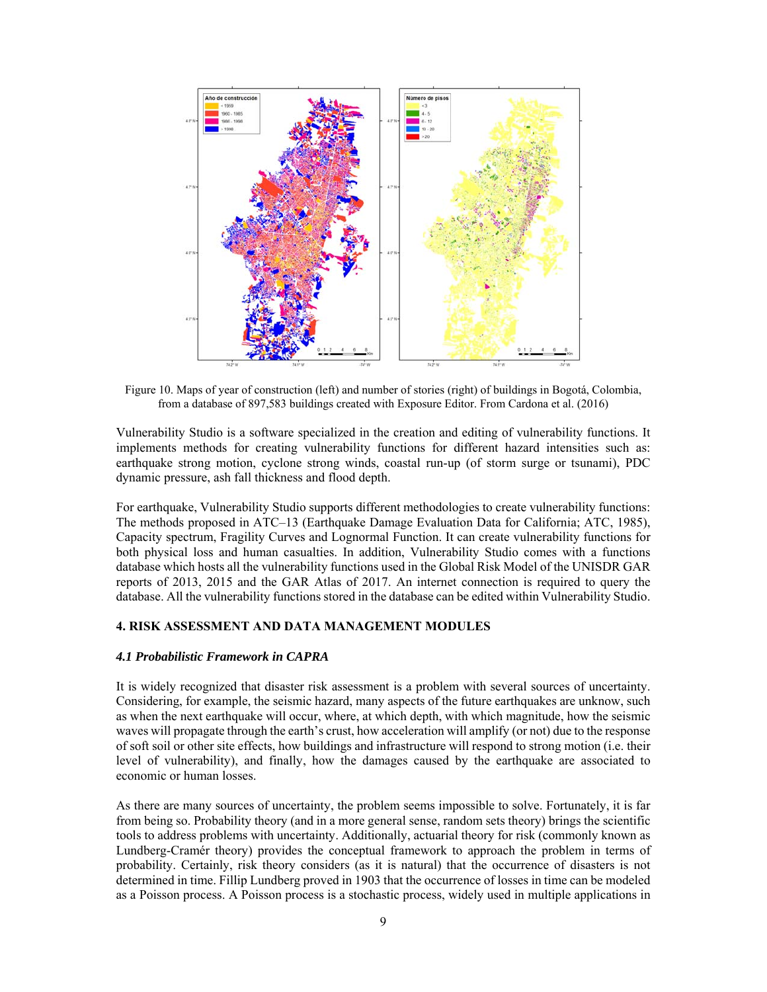

Figure 10. Maps of year of construction (left) and number of stories (right) of buildings in Bogotá, Colombia, from a database of 897,583 buildings created with Exposure Editor. From Cardona et al. (2016)

Vulnerability Studio is a software specialized in the creation and editing of vulnerability functions. It implements methods for creating vulnerability functions for different hazard intensities such as: earthquake strong motion, cyclone strong winds, coastal run-up (of storm surge or tsunami), PDC dynamic pressure, ash fall thickness and flood depth.

For earthquake, Vulnerability Studio supports different methodologies to create vulnerability functions: The methods proposed in ATC–13 (Earthquake Damage Evaluation Data for California; ATC, 1985), Capacity spectrum, Fragility Curves and Lognormal Function. It can create vulnerability functions for both physical loss and human casualties. In addition, Vulnerability Studio comes with a functions database which hosts all the vulnerability functions used in the Global Risk Model of the UNISDR GAR reports of 2013, 2015 and the GAR Atlas of 2017. An internet connection is required to query the database. All the vulnerability functions stored in the database can be edited within Vulnerability Studio.

#### **4. RISK ASSESSMENT AND DATA MANAGEMENT MODULES**

## *4.1 Probabilistic Framework in CAPRA*

It is widely recognized that disaster risk assessment is a problem with several sources of uncertainty. Considering, for example, the seismic hazard, many aspects of the future earthquakes are unknow, such as when the next earthquake will occur, where, at which depth, with which magnitude, how the seismic waves will propagate through the earth's crust, how acceleration will amplify (or not) due to the response of soft soil or other site effects, how buildings and infrastructure will respond to strong motion (i.e. their level of vulnerability), and finally, how the damages caused by the earthquake are associated to economic or human losses.

As there are many sources of uncertainty, the problem seems impossible to solve. Fortunately, it is far from being so. Probability theory (and in a more general sense, random sets theory) brings the scientific tools to address problems with uncertainty. Additionally, actuarial theory for risk (commonly known as Lundberg-Cramér theory) provides the conceptual framework to approach the problem in terms of probability. Certainly, risk theory considers (as it is natural) that the occurrence of disasters is not determined in time. Fillip Lundberg proved in 1903 that the occurrence of losses in time can be modeled as a Poisson process. A Poisson process is a stochastic process, widely used in multiple applications in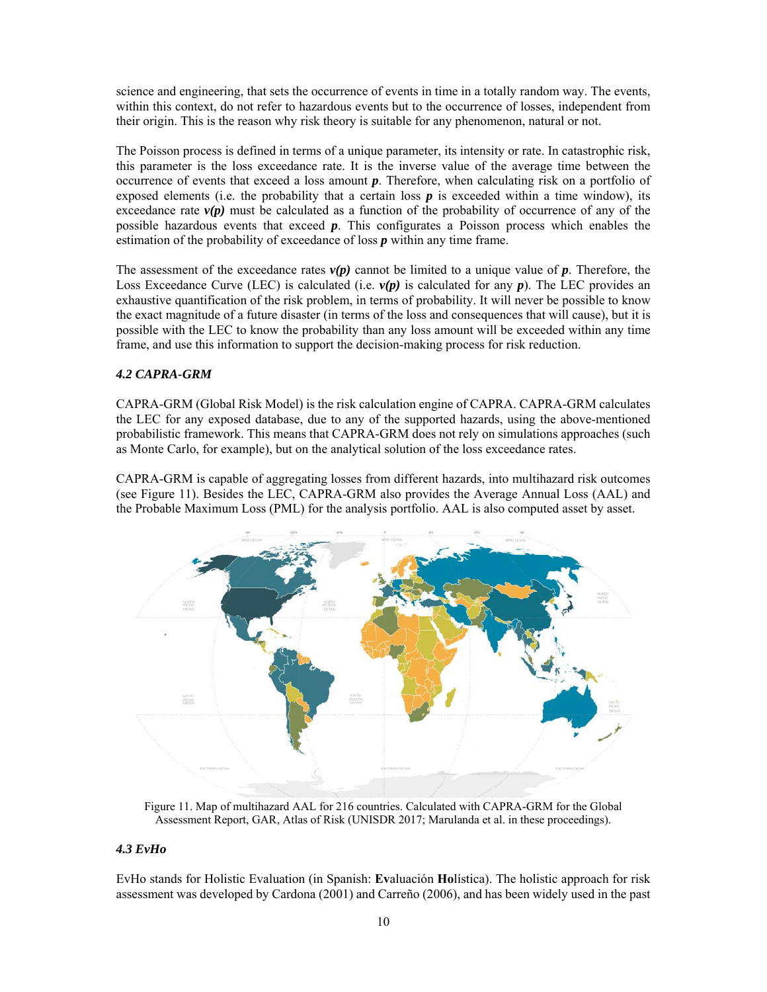science and engineering, that sets the occurrence of events in time in a totally random way. The events, within this context, do not refer to hazardous events but to the occurrence of losses, independent from their origin. This is the reason why risk theory is suitable for any phenomenon, natural or not.

The Poisson process is defined in terms of a unique parameter, its intensity or rate. In catastrophic risk, this parameter is the loss exceedance rate. It is the inverse value of the average time between the occurrence of events that exceed a loss amount *p*. Therefore, when calculating risk on a portfolio of exposed elements (i.e. the probability that a certain loss  $p$  is exceeded within a time window), its exceedance rate  $v(p)$  must be calculated as a function of the probability of occurrence of any of the possible hazardous events that exceed *p*. This configurates a Poisson process which enables the estimation of the probability of exceedance of loss *p* within any time frame.

The assessment of the exceedance rates  $v(p)$  cannot be limited to a unique value of p. Therefore, the Loss Exceedance Curve (LEC) is calculated (i.e.  $v(p)$  is calculated for any  $p$ ). The LEC provides an exhaustive quantification of the risk problem, in terms of probability. It will never be possible to know the exact magnitude of a future disaster (in terms of the loss and consequences that will cause), but it is possible with the LEC to know the probability than any loss amount will be exceeded within any time frame, and use this information to support the decision-making process for risk reduction.

## *4.2 CAPRA-GRM*

CAPRA-GRM (Global Risk Model) is the risk calculation engine of CAPRA. CAPRA-GRM calculates the LEC for any exposed database, due to any of the supported hazards, using the above-mentioned probabilistic framework. This means that CAPRA-GRM does not rely on simulations approaches (such as Monte Carlo, for example), but on the analytical solution of the loss exceedance rates.

CAPRA-GRM is capable of aggregating losses from different hazards, into multihazard risk outcomes (see Figure 11). Besides the LEC, CAPRA-GRM also provides the Average Annual Loss (AAL) and the Probable Maximum Loss (PML) for the analysis portfolio. AAL is also computed asset by asset.



Figure 11. Map of multihazard AAL for 216 countries. Calculated with CAPRA-GRM for the Global Assessment Report, GAR, Atlas of Risk (UNISDR 2017; Marulanda et al. in these proceedings).

#### *4.3 EvHo*

EvHo stands for Holistic Evaluation (in Spanish: **Ev**aluación **Ho**lística). The holistic approach for risk assessment was developed by Cardona (2001) and Carreño (2006), and has been widely used in the past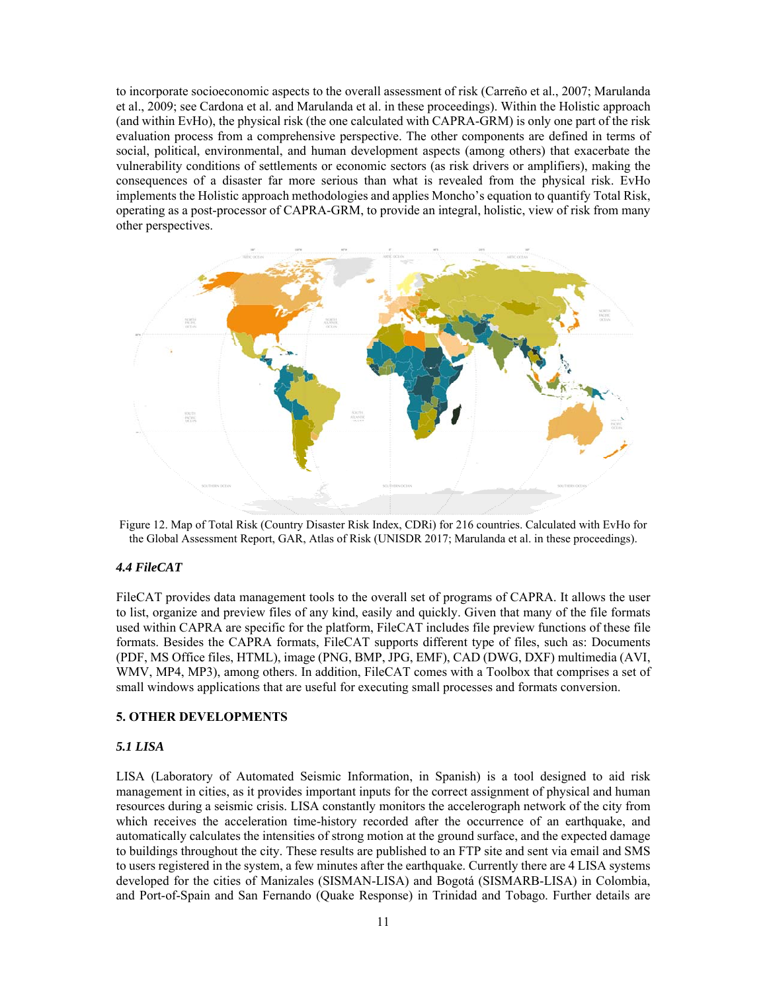to incorporate socioeconomic aspects to the overall assessment of risk (Carreño et al., 2007; Marulanda et al., 2009; see Cardona et al. and Marulanda et al. in these proceedings). Within the Holistic approach (and within EvHo), the physical risk (the one calculated with CAPRA-GRM) is only one part of the risk evaluation process from a comprehensive perspective. The other components are defined in terms of social, political, environmental, and human development aspects (among others) that exacerbate the vulnerability conditions of settlements or economic sectors (as risk drivers or amplifiers), making the consequences of a disaster far more serious than what is revealed from the physical risk. EvHo implements the Holistic approach methodologies and applies Moncho's equation to quantify Total Risk, operating as a post-processor of CAPRA-GRM, to provide an integral, holistic, view of risk from many other perspectives.



Figure 12. Map of Total Risk (Country Disaster Risk Index, CDRi) for 216 countries. Calculated with EvHo for the Global Assessment Report, GAR, Atlas of Risk (UNISDR 2017; Marulanda et al. in these proceedings).

## *4.4 FileCAT*

FileCAT provides data management tools to the overall set of programs of CAPRA. It allows the user to list, organize and preview files of any kind, easily and quickly. Given that many of the file formats used within CAPRA are specific for the platform, FileCAT includes file preview functions of these file formats. Besides the CAPRA formats, FileCAT supports different type of files, such as: Documents (PDF, MS Office files, HTML), image (PNG, BMP, JPG, EMF), CAD (DWG, DXF) multimedia (AVI, WMV, MP4, MP3), among others. In addition, FileCAT comes with a Toolbox that comprises a set of small windows applications that are useful for executing small processes and formats conversion.

## **5. OTHER DEVELOPMENTS**

## *5.1 LISA*

LISA (Laboratory of Automated Seismic Information, in Spanish) is a tool designed to aid risk management in cities, as it provides important inputs for the correct assignment of physical and human resources during a seismic crisis. LISA constantly monitors the accelerograph network of the city from which receives the acceleration time-history recorded after the occurrence of an earthquake, and automatically calculates the intensities of strong motion at the ground surface, and the expected damage to buildings throughout the city. These results are published to an FTP site and sent via email and SMS to users registered in the system, a few minutes after the earthquake. Currently there are 4 LISA systems developed for the cities of Manizales (SISMAN-LISA) and Bogotá (SISMARB-LISA) in Colombia, and Port-of-Spain and San Fernando (Quake Response) in Trinidad and Tobago. Further details are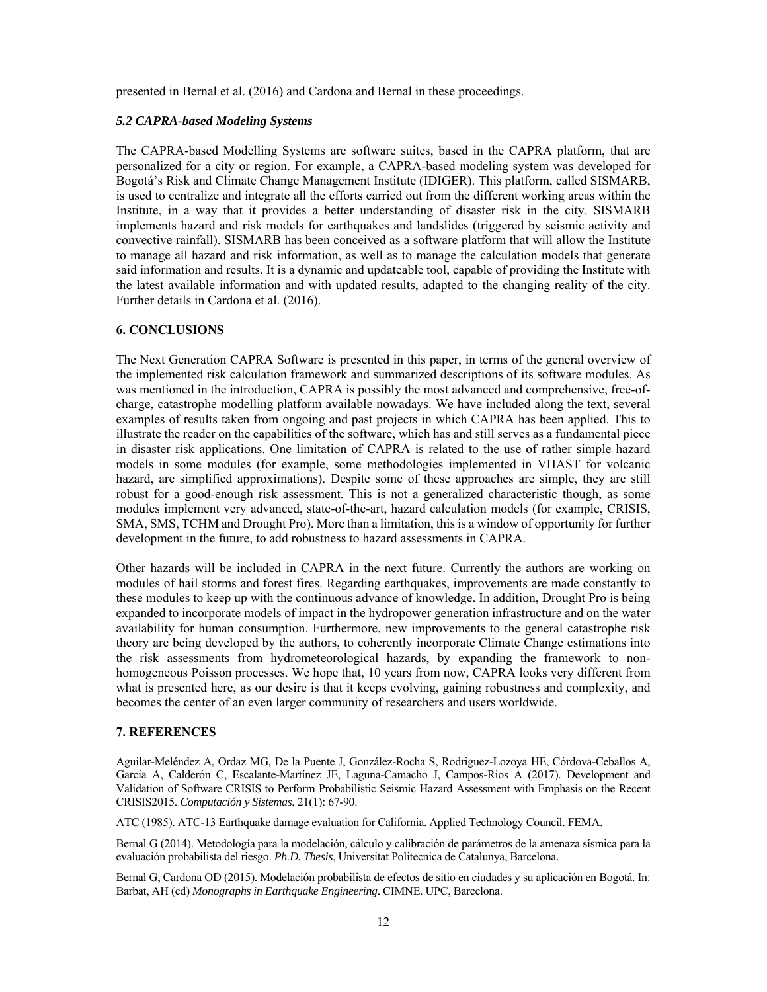presented in Bernal et al. (2016) and Cardona and Bernal in these proceedings.

#### *5.2 CAPRA-based Modeling Systems*

The CAPRA-based Modelling Systems are software suites, based in the CAPRA platform, that are personalized for a city or region. For example, a CAPRA-based modeling system was developed for Bogotá's Risk and Climate Change Management Institute (IDIGER). This platform, called SISMARB, is used to centralize and integrate all the efforts carried out from the different working areas within the Institute, in a way that it provides a better understanding of disaster risk in the city. SISMARB implements hazard and risk models for earthquakes and landslides (triggered by seismic activity and convective rainfall). SISMARB has been conceived as a software platform that will allow the Institute to manage all hazard and risk information, as well as to manage the calculation models that generate said information and results. It is a dynamic and updateable tool, capable of providing the Institute with the latest available information and with updated results, adapted to the changing reality of the city. Further details in Cardona et al. (2016).

## **6. CONCLUSIONS**

The Next Generation CAPRA Software is presented in this paper, in terms of the general overview of the implemented risk calculation framework and summarized descriptions of its software modules. As was mentioned in the introduction, CAPRA is possibly the most advanced and comprehensive, free-ofcharge, catastrophe modelling platform available nowadays. We have included along the text, several examples of results taken from ongoing and past projects in which CAPRA has been applied. This to illustrate the reader on the capabilities of the software, which has and still serves as a fundamental piece in disaster risk applications. One limitation of CAPRA is related to the use of rather simple hazard models in some modules (for example, some methodologies implemented in VHAST for volcanic hazard, are simplified approximations). Despite some of these approaches are simple, they are still robust for a good-enough risk assessment. This is not a generalized characteristic though, as some modules implement very advanced, state-of-the-art, hazard calculation models (for example, CRISIS, SMA, SMS, TCHM and Drought Pro). More than a limitation, this is a window of opportunity for further development in the future, to add robustness to hazard assessments in CAPRA.

Other hazards will be included in CAPRA in the next future. Currently the authors are working on modules of hail storms and forest fires. Regarding earthquakes, improvements are made constantly to these modules to keep up with the continuous advance of knowledge. In addition, Drought Pro is being expanded to incorporate models of impact in the hydropower generation infrastructure and on the water availability for human consumption. Furthermore, new improvements to the general catastrophe risk theory are being developed by the authors, to coherently incorporate Climate Change estimations into the risk assessments from hydrometeorological hazards, by expanding the framework to nonhomogeneous Poisson processes. We hope that, 10 years from now, CAPRA looks very different from what is presented here, as our desire is that it keeps evolving, gaining robustness and complexity, and becomes the center of an even larger community of researchers and users worldwide.

#### **7. REFERENCES**

Aguilar-Meléndez A, Ordaz MG, De la Puente J, González-Rocha S, Rodriguez-Lozoya HE, Córdova-Ceballos A, García A, Calderón C, Escalante-Martínez JE, Laguna-Camacho J, Campos-Rios A (2017). Development and Validation of Software CRISIS to Perform Probabilistic Seismic Hazard Assessment with Emphasis on the Recent CRISIS2015. *Computación y Sistemas*, 21(1): 67-90.

ATC (1985). ATC-13 Earthquake damage evaluation for California. Applied Technology Council. FEMA.

Bernal G (2014). Metodología para la modelación, cálculo y calibración de parámetros de la amenaza sísmica para la evaluación probabilista del riesgo. *Ph.D. Thesis*, Universitat Politecnica de Catalunya, Barcelona.

Bernal G, Cardona OD (2015). Modelación probabilista de efectos de sitio en ciudades y su aplicación en Bogotá. In: Barbat, AH (ed) *Monographs in Earthquake Engineering*. CIMNE. UPC, Barcelona.